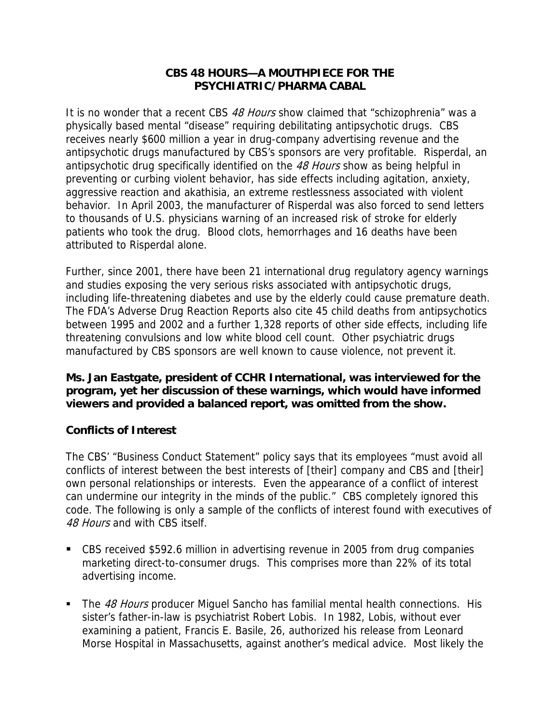## **CBS 48 HOURS—A MOUTHPIECE FOR THE PSYCHIATRIC/PHARMA CABAL**

It is no wonder that a recent CBS 48 Hours show claimed that "schizophrenia" was a physically based mental "disease" requiring debilitating antipsychotic drugs. CBS receives nearly \$600 million a year in drug-company advertising revenue and the antipsychotic drugs manufactured by CBS's sponsors are very profitable. Risperdal, an antipsychotic drug specifically identified on the 48 Hours show as being helpful in preventing or curbing violent behavior, has side effects including agitation, anxiety, aggressive reaction and akathisia, an extreme restlessness associated with violent behavior. In April 2003, the manufacturer of Risperdal was also forced to send letters to thousands of U.S. physicians warning of an increased risk of stroke for elderly patients who took the drug. Blood clots, hemorrhages and 16 deaths have been attributed to Risperdal alone.

Further, since 2001, there have been 21 international drug regulatory agency warnings and studies exposing the very serious risks associated with antipsychotic drugs, including life-threatening diabetes and use by the elderly could cause premature death. The FDA's Adverse Drug Reaction Reports also cite 45 child deaths from antipsychotics between 1995 and 2002 and a further 1,328 reports of other side effects, including life threatening convulsions and low white blood cell count. Other psychiatric drugs manufactured by CBS sponsors are well known to cause violence, not prevent it.

**Ms. Jan Eastgate, president of CCHR International, was interviewed for the program, yet her discussion of these warnings, which would have informed viewers and provided a balanced report, was omitted from the show.** 

## **Conflicts of Interest**

The CBS' "Business Conduct Statement" policy says that its employees "must avoid all conflicts of interest between the best interests of [their] company and CBS and [their] own personal relationships or interests. Even the appearance of a conflict of interest can undermine our integrity in the minds of the public." CBS completely ignored this code. The following is only a sample of the conflicts of interest found with executives of 48 Hours and with CBS itself.

- CBS received \$592.6 million in advertising revenue in 2005 from drug companies marketing direct-to-consumer drugs. This comprises more than 22% of its total advertising income.
- The 48 Hours producer Miquel Sancho has familial mental health connections. His sister's father-in-law is psychiatrist Robert Lobis. In 1982, Lobis, without ever examining a patient, Francis E. Basile, 26, authorized his release from Leonard Morse Hospital in Massachusetts, against another's medical advice. Most likely the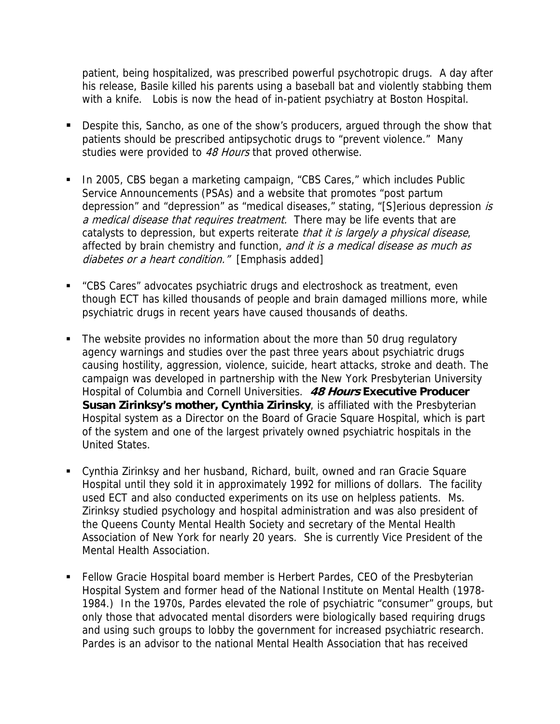patient, being hospitalized, was prescribed powerful psychotropic drugs. A day after his release, Basile killed his parents using a baseball bat and violently stabbing them with a knife. Lobis is now the head of in-patient psychiatry at Boston Hospital.

- Despite this, Sancho, as one of the show's producers, argued through the show that patients should be prescribed antipsychotic drugs to "prevent violence." Many studies were provided to 48 Hours that proved otherwise.
- In 2005, CBS began a marketing campaign, "CBS Cares," which includes Public Service Announcements (PSAs) and a website that promotes "post partum depression" and "depression" as "medical diseases," stating, "[S]erious depression is a medical disease that requires treatment. There may be life events that are catalysts to depression, but experts reiterate *that it is largely a physical disease*, affected by brain chemistry and function, and it is a medical disease as much as diabetes or a heart condition." [Emphasis added]
- "CBS Cares" advocates psychiatric drugs and electroshock as treatment, even though ECT has killed thousands of people and brain damaged millions more, while psychiatric drugs in recent years have caused thousands of deaths.
- The website provides no information about the more than 50 drug regulatory agency warnings and studies over the past three years about psychiatric drugs causing hostility, aggression, violence, suicide, heart attacks, stroke and death. The campaign was developed in partnership with the New York Presbyterian University Hospital of Columbia and Cornell Universities. **48 Hours Executive Producer Susan Zirinksy's mother, Cynthia Zirinsky**, is affiliated with the Presbyterian Hospital system as a Director on the Board of Gracie Square Hospital, which is part of the system and one of the largest privately owned psychiatric hospitals in the United States.
- Cynthia Zirinksy and her husband, Richard, built, owned and ran Gracie Square Hospital until they sold it in approximately 1992 for millions of dollars. The facility used ECT and also conducted experiments on its use on helpless patients. Ms. Zirinksy studied psychology and hospital administration and was also president of the Queens County Mental Health Society and secretary of the Mental Health Association of New York for nearly 20 years. She is currently Vice President of the Mental Health Association.
- **Fellow Gracie Hospital board member is Herbert Pardes, CEO of the Presbyterian** Hospital System and former head of the National Institute on Mental Health (1978- 1984.) In the 1970s, Pardes elevated the role of psychiatric "consumer" groups, but only those that advocated mental disorders were biologically based requiring drugs and using such groups to lobby the government for increased psychiatric research. Pardes is an advisor to the national Mental Health Association that has received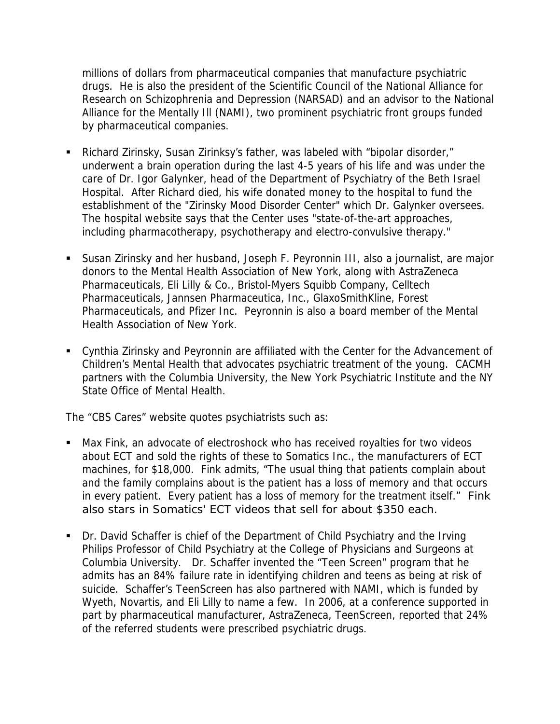millions of dollars from pharmaceutical companies that manufacture psychiatric drugs. He is also the president of the Scientific Council of the National Alliance for Research on Schizophrenia and Depression (NARSAD) and an advisor to the National Alliance for the Mentally Ill (NAMI), two prominent psychiatric front groups funded by pharmaceutical companies.

- Richard Zirinsky, Susan Zirinksy's father, was labeled with "bipolar disorder," underwent a brain operation during the last 4-5 years of his life and was under the care of Dr. Igor Galynker, head of the Department of Psychiatry of the Beth Israel Hospital. After Richard died, his wife donated money to the hospital to fund the establishment of the "Zirinsky Mood Disorder Center" which Dr. Galynker oversees. The hospital website says that the Center uses "state-of-the-art approaches, including pharmacotherapy, psychotherapy and electro-convulsive therapy."
- Susan Zirinsky and her husband, Joseph F. Peyronnin III, also a journalist, are major donors to the Mental Health Association of New York, along with AstraZeneca Pharmaceuticals, Eli Lilly & Co., Bristol-Myers Squibb Company, Celltech Pharmaceuticals, Jannsen Pharmaceutica, Inc., GlaxoSmithKline, Forest Pharmaceuticals, and Pfizer Inc. Peyronnin is also a board member of the Mental Health Association of New York.
- Cynthia Zirinsky and Peyronnin are affiliated with the Center for the Advancement of Children's Mental Health that advocates psychiatric treatment of the young. CACMH partners with the Columbia University, the New York Psychiatric Institute and the NY State Office of Mental Health.

The "CBS Cares" website quotes psychiatrists such as:

- Max Fink, an advocate of electroshock who has received royalties for two videos about ECT and sold the rights of these to Somatics Inc., the manufacturers of ECT machines, for \$18,000. Fink admits, "The usual thing that patients complain about and the family complains about is the patient has a loss of memory and that occurs in every patient. Every patient has a loss of memory for the treatment itself." Fink also stars in Somatics' ECT videos that sell for about \$350 each.
- Dr. David Schaffer is chief of the Department of Child Psychiatry and the Irving Philips Professor of Child Psychiatry at the College of Physicians and Surgeons at Columbia University. Dr. Schaffer invented the "Teen Screen" program that he admits has an 84% failure rate in identifying children and teens as being at risk of suicide. Schaffer's TeenScreen has also partnered with NAMI, which is funded by Wyeth, Novartis, and Eli Lilly to name a few. In 2006, at a conference supported in part by pharmaceutical manufacturer, AstraZeneca, TeenScreen, reported that 24% of the referred students were prescribed psychiatric drugs.